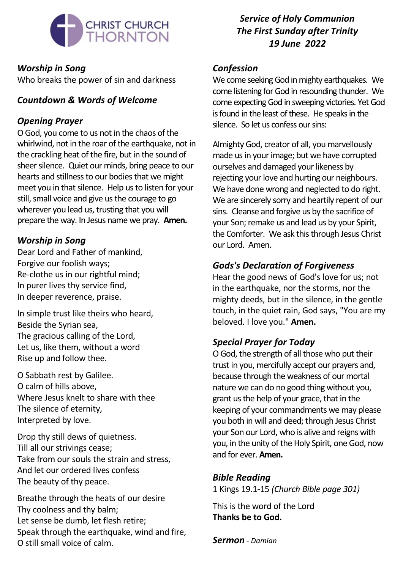

### *Worship in Song*

Who breaks the power of sin and darkness

# *Countdown & Words of Welcome*

# *Opening Prayer*

O God, you come to us not in the chaos of the whirlwind, not in the roar of the earthquake, not in the crackling heat of the fire, but in the sound of sheer silence. Quiet our minds, bring peace to our hearts and stillness to our bodies that we might meet you in that silence. Help us to listen for your still, small voice and give us the courage to go wherever you lead us, trusting that you will prepare the way. In Jesus name we pray. **Amen.**

# *Worship in Song*

Dear Lord and Father of mankind, Forgive our foolish ways; Re-clothe us in our rightful mind; In purer lives thy service find, In deeper reverence, praise.

In simple trust like theirs who heard, Beside the Syrian sea, The gracious calling of the Lord, Let us, like them, without a word Rise up and follow thee.

O Sabbath rest by Galilee. O calm of hills above, Where Jesus knelt to share with thee The silence of eternity, Interpreted by love.

Drop thy still dews of quietness. Till all our strivings cease; Take from our souls the strain and stress, And let our ordered lives confess The beauty of thy peace.

Breathe through the heats of our desire Thy coolness and thy balm; Let sense be dumb, let flesh retire; Speak through the earthquake, wind and fire, O still small voice of calm.

*Service of Holy Communion The First Sunday after Trinity 19 June 2022*

#### *Confession*

We come seeking God in mighty earthquakes. We come listening for God in resounding thunder. We come expecting God in sweeping victories. Yet God is found in the least of these. He speaks in the silence. So let us confess our sins:

Almighty God, creator of all, you marvellously made us in your image; but we have corrupted ourselves and damaged your likeness by rejecting your love and hurting our neighbours. We have done wrong and neglected to do right. We are sincerely sorry and heartily repent of our sins. Cleanse and forgive us by the sacrifice of your Son; remake us and lead us by your Spirit, the Comforter. We ask this through Jesus Christ our Lord. Amen.

# *Gods's Declaration of Forgiveness*

Hear the good news of God's love for us; not in the earthquake, nor the storms, nor the mighty deeds, but in the silence, in the gentle touch, in the quiet rain, God says, "You are my beloved. I love you." **Amen.**

## *Special Prayer for Today*

OGod, the strength of all those who put their trust in you, mercifully accept our prayers and, because through the weakness of our mortal nature we can do no good thing without you, grant us the help of your grace, that in the keeping of your commandments we may please you both in will and deed; through Jesus Christ your Son our Lord, who is alive and reigns with you, in the unity of the Holy Spirit, one God, now and for ever. **Amen.**

*Bible Reading* 1 Kings 19.1-15 *(Church Bible page 301)*

This is the word of the Lord **Thanks be to God.**

*Sermon - Damian*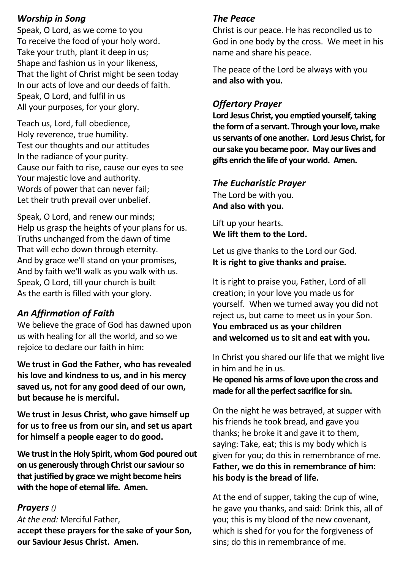# *Worship in Song*

Speak, O Lord, as we come to you To receive the food of your holy word. Take your truth, plant it deep in us; Shape and fashion us in your likeness, That the light of Christ might be seen today In our acts of love and our deeds of faith. Speak, O Lord, and fulfil in us All your purposes, for your glory.

Teach us, Lord, full obedience, Holy reverence, true humility. Test our thoughts and our attitudes In the radiance of your purity. Cause our faith to rise, cause our eyes to see Your majestic love and authority. Words of power that can never fail; Let their truth prevail over unbelief.

Speak, O Lord, and renew our minds; Help us grasp the heights of your plans for us. Truths unchanged from the dawn of time That will echo down through eternity. And by grace we'll stand on your promises, And by faith we'll walk as you walk with us. Speak, O Lord, till your church is built As the earth is filled with your glory.

# *An Affirmation of Faith*

We believe the grace of God has dawned upon us with healing for all the world, and so we rejoice to declare our faith in him:

**We trust in God the Father, who has revealed his love and kindness to us, and in his mercy saved us, not for any good deed of our own, but because he is merciful.**

**We trust in Jesus Christ, who gave himself up for us to free us from our sin, and set us apart for himself a people eager to do good.**

**We trustin the Holy Spirit, whom God poured out on us generously through Christ oursaviourso that justified by grace we might become heirs with the hope of eternal life. Amen.**

## *Prayers ()*

*At the end:* Merciful Father, **accept these prayers for the sake of your Son, our Saviour Jesus Christ. Amen.**

# *The Peace*

Christ is our peace. He has reconciled us to God in one body by the cross. We meet in his name and share his peace.

The peace of the Lord be always with you **and also with you.**

# *Offertory Prayer*

**Lord** Jesus Christ, you emptied yourself, taking **the form of a servant. Through yourlove, make usservants of one another. Lord Jesus Christ, for oursake you became poor. May ourlives and gifts enrich the life of your world. Amen.**

# *The Eucharistic Prayer*

The Lord be with you. **And also with you.**

Lift up your hearts. **We lift them to the Lord.**

Let us give thanks to the Lord our God. **It is right to give thanks and praise.**

It is right to praise you, Father, Lord of all creation; in your love you made us for yourself. When we turned away you did not reject us, but came to meet us in your Son. **You embraced us as your children and welcomed us to sit and eat with you.**

In Christ you shared our life that we might live in him and he in us.

**He opened his arms of love upon the cross and made** for all the perfect sacrifice for sin.

On the night he was betrayed, at supper with his friends he took bread, and gave you thanks; he broke it and gave it to them, saying: Take, eat; this is my body which is given for you; do this in remembrance of me. **Father, we do this in remembrance of him: his body is the bread of life.**

At the end of supper, taking the cup of wine, he gave you thanks, and said: Drink this, all of you; this is my blood of the new covenant, which is shed for you for the forgiveness of sins; do this in remembrance of me.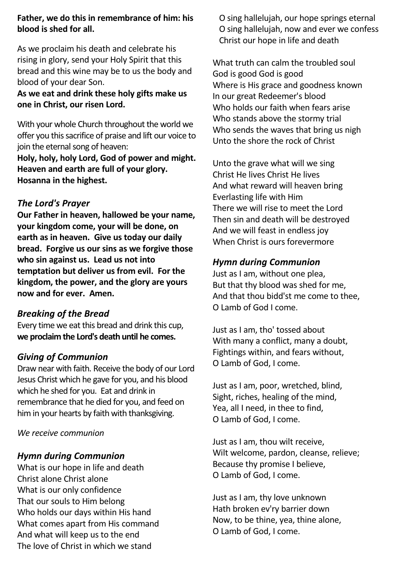## **Father, we do this in remembrance of him: his blood is shed for all.**

As we proclaim his death and celebrate his rising in glory, send your Holy Spirit that this bread and this wine may be to us the body and blood of your dear Son.

#### **As we eat and drink these holy gifts make us one in Christ, our risen Lord.**

With your whole Church throughout the world we offer you this sacrifice of praise and lift our voice to join the eternal song of heaven:

**Holy, holy, holy Lord, God of power and might. Heaven and earth are full of your glory. Hosanna in the highest.**

# *The Lord's Prayer*

**Our Father in heaven, hallowed be your name, your kingdom come, your will be done, on earth as in heaven. Give us today our daily bread. Forgive us our sins as we forgive those who sin against us. Lead us not into temptation but deliver us from evil. For the kingdom, the power, and the glory are yours now and for ever. Amen.**

# *Breaking of the Bread*

Every time we eat this bread and drink this cup, **we proclaim the Lord's death until he comes.**

# *Giving of Communion*

Draw near with faith. Receive the body of our Lord Jesus Christ which he gave for you, and his blood which he shed for you. Eat and drink in remembrance that he died for you, and feed on him in your hearts by faith with thanksgiving.

## *We receive communion*

## *Hymn during Communion*

What is our hope in life and death Christ alone Christ alone What is our only confidence That our souls to Him belong Who holds our days within His hand What comes apart from His command And what will keep us to the end The love of Christ in which we stand

 O sing hallelujah, our hope springs eternal O sing hallelujah, now and ever we confess Christ our hope in life and death

What truth can calm the troubled soul God is good God is good Where is His grace and goodness known In our great Redeemer's blood Who holds our faith when fears arise Who stands above the stormy trial Who sends the waves that bring us nigh Unto the shore the rock of Christ

Unto the grave what will we sing Christ He lives Christ He lives And what reward will heaven bring Everlasting life with Him There we will rise to meet the Lord Then sin and death will be destroyed And we will feast in endless joy When Christ is ours forevermore

# *Hymn during Communion*

Just as I am, without one plea, But that thy blood was shed for me, And that thou bidd'st me come to thee, O Lamb of God I come.

Just as I am, tho' tossed about With many a conflict, many a doubt, Fightings within, and fears without, O Lamb of God, I come.

Just as I am, poor, wretched, blind, Sight, riches, healing of the mind, Yea, all I need, in thee to find, O Lamb of God, I come.

Just as I am, thou wilt receive, Wilt welcome, pardon, cleanse, relieve; Because thy promise I believe, O Lamb of God, I come.

Just as I am, thy love unknown Hath broken ev'ry barrier down Now, to be thine, yea, thine alone, O Lamb of God, I come.